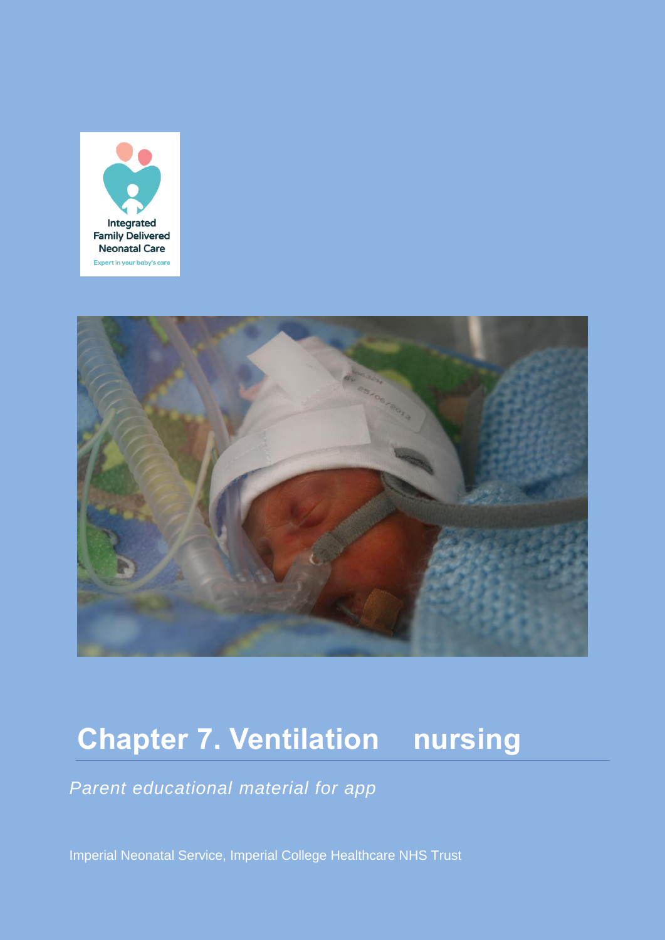



# **Chapter 7. Ventilation nursing**

*Parent educational material for app*

Imperial Neonatal Service, Imperial College Healthcare NHS Trust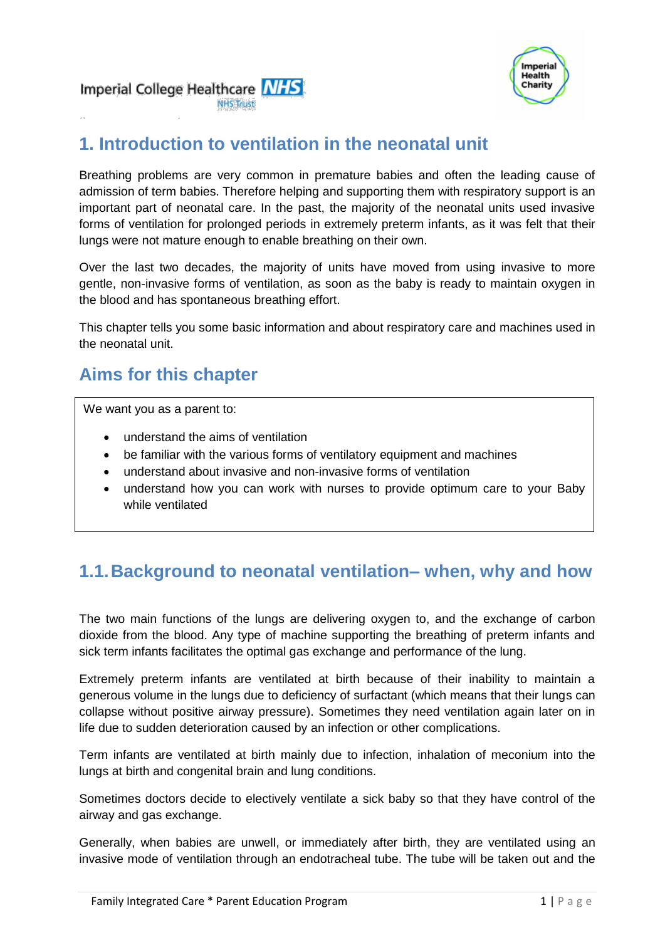

# **1. Introduction to ventilation in the neonatal unit**

Breathing problems are very common in premature babies and often the leading cause of admission of term babies. Therefore helping and supporting them with respiratory support is an important part of neonatal care. In the past, the majority of the neonatal units used invasive forms of ventilation for prolonged periods in extremely preterm infants, as it was felt that their lungs were not mature enough to enable breathing on their own.

Over the last two decades, the majority of units have moved from using invasive to more gentle, non-invasive forms of ventilation, as soon as the baby is ready to maintain oxygen in the blood and has spontaneous breathing effort.

This chapter tells you some basic information and about respiratory care and machines used in the neonatal unit.

# **Aims for this chapter**

We want you as a parent to:

- understand the aims of ventilation
- be familiar with the various forms of ventilatory equipment and machines
- understand about invasive and non-invasive forms of ventilation
- understand how you can work with nurses to provide optimum care to your Baby while ventilated

# **1.1.Background to neonatal ventilation– when, why and how**

The two main functions of the lungs are delivering oxygen to, and the exchange of carbon dioxide from the blood. Any type of machine supporting the breathing of preterm infants and sick term infants facilitates the optimal gas exchange and performance of the lung.

Extremely preterm infants are ventilated at birth because of their inability to maintain a generous volume in the lungs due to deficiency of surfactant (which means that their lungs can collapse without positive airway pressure). Sometimes they need ventilation again later on in life due to sudden deterioration caused by an infection or other complications.

Term infants are ventilated at birth mainly due to infection, inhalation of meconium into the lungs at birth and congenital brain and lung conditions.

Sometimes doctors decide to electively ventilate a sick baby so that they have control of the airway and gas exchange.

Generally, when babies are unwell, or immediately after birth, they are ventilated using an invasive mode of ventilation through an endotracheal tube. The tube will be taken out and the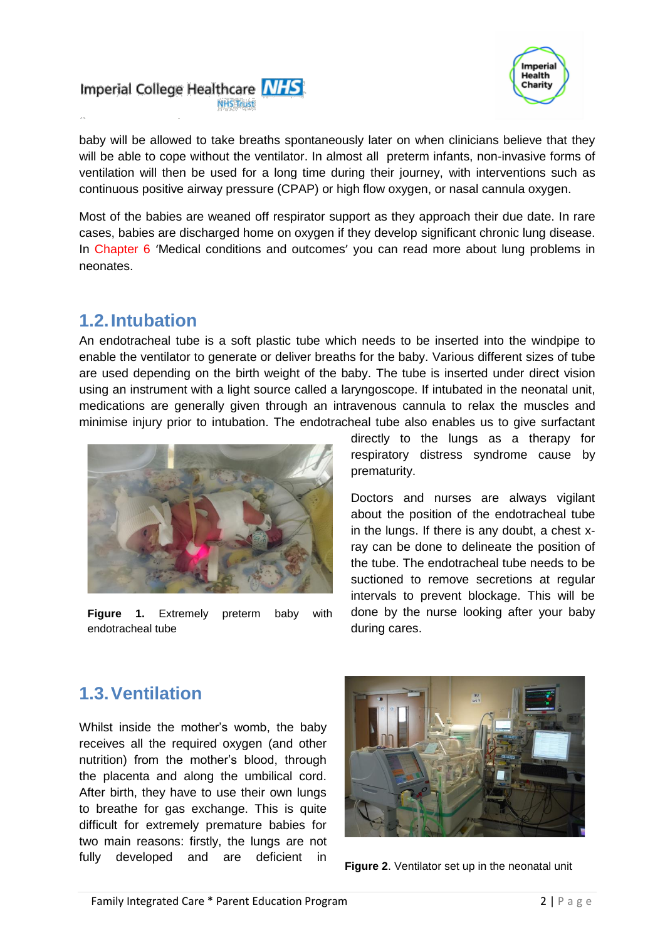



baby will be allowed to take breaths spontaneously later on when clinicians believe that they will be able to cope without the ventilator. In almost all preterm infants, non-invasive forms of ventilation will then be used for a long time during their journey, with interventions such as continuous positive airway pressure (CPAP) or high flow oxygen, or nasal cannula oxygen.

Most of the babies are weaned off respirator support as they approach their due date. In rare cases, babies are discharged home on oxygen if they develop significant chronic lung disease. In Chapter 6 'Medical conditions and outcomes' you can read more about lung problems in neonates.

### **1.2.Intubation**

An endotracheal tube is a soft plastic tube which needs to be inserted into the windpipe to enable the ventilator to generate or deliver breaths for the baby. Various different sizes of tube are used depending on the birth weight of the baby. The tube is inserted under direct vision using an instrument with a light source called a laryngoscope. If intubated in the neonatal unit, medications are generally given through an intravenous cannula to relax the muscles and minimise injury prior to intubation. The endotracheal tube also enables us to give surfactant



**Figure 1.** Extremely preterm baby with endotracheal tube

directly to the lungs as a therapy for respiratory distress syndrome cause by prematurity.

Doctors and nurses are always vigilant about the position of the endotracheal tube in the lungs. If there is any doubt, a chest xray can be done to delineate the position of the tube. The endotracheal tube needs to be suctioned to remove secretions at regular intervals to prevent blockage. This will be done by the nurse looking after your baby during cares.

# **1.3.Ventilation**

Whilst inside the mother's womb, the baby receives all the required oxygen (and other nutrition) from the mother's blood, through the placenta and along the umbilical cord. After birth, they have to use their own lungs to breathe for gas exchange. This is quite difficult for extremely premature babies for two main reasons: firstly, the lungs are not fully developed and are deficient in



**Figure 2**. Ventilator set up in the neonatal unit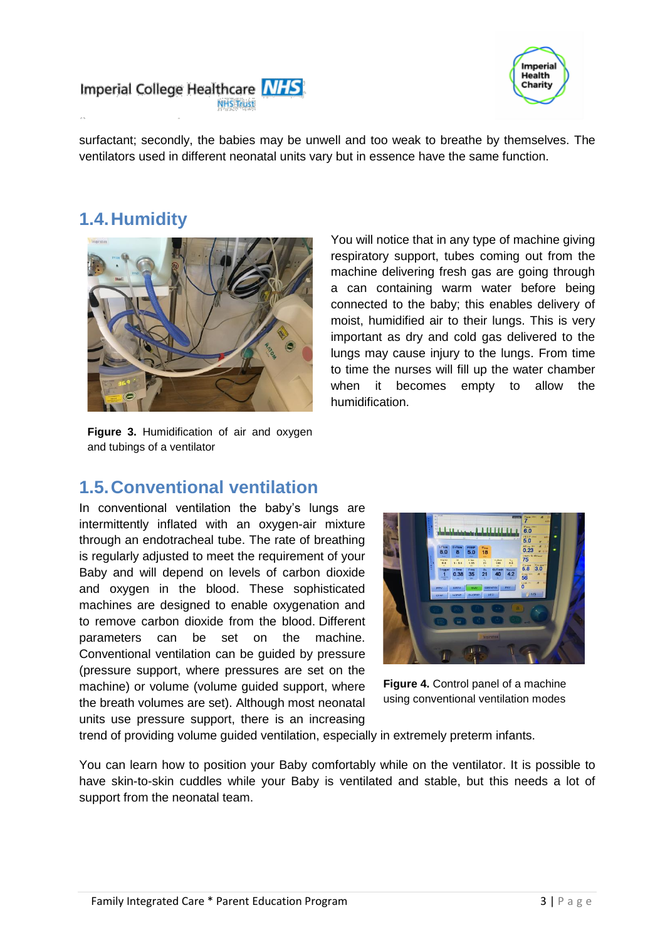



surfactant; secondly, the babies may be unwell and too weak to breathe by themselves. The ventilators used in different neonatal units vary but in essence have the same function.

# **1.4.Humidity**



You will notice that in any type of machine giving respiratory support, tubes coming out from the machine delivering fresh gas are going through a can containing warm water before being connected to the baby; this enables delivery of moist, humidified air to their lungs. This is very important as dry and cold gas delivered to the lungs may cause injury to the lungs. From time to time the nurses will fill up the water chamber when it becomes empty to allow the humidification.

**Figure 3.** Humidification of air and oxygen and tubings of a ventilator

#### **1.5.Conventional ventilation**

In conventional ventilation the baby's lungs are intermittently inflated with an oxygen-air mixture through an endotracheal tube. The rate of breathing is regularly adjusted to meet the requirement of your Baby and will depend on levels of carbon dioxide and oxygen in the blood. These sophisticated machines are designed to enable oxygenation and to remove carbon dioxide from the blood. Different parameters can be set on the machine. Conventional ventilation can be guided by pressure (pressure support, where pressures are set on the machine) or volume (volume guided support, where the breath volumes are set). Although most neonatal units use pressure support, there is an increasing



**Figure 4.** Control panel of a machine using conventional ventilation modes

trend of providing volume guided ventilation, especially in extremely preterm infants.

You can learn how to position your Baby comfortably while on the ventilator. It is possible to have skin-to-skin cuddles while your Baby is ventilated and stable, but this needs a lot of support from the neonatal team.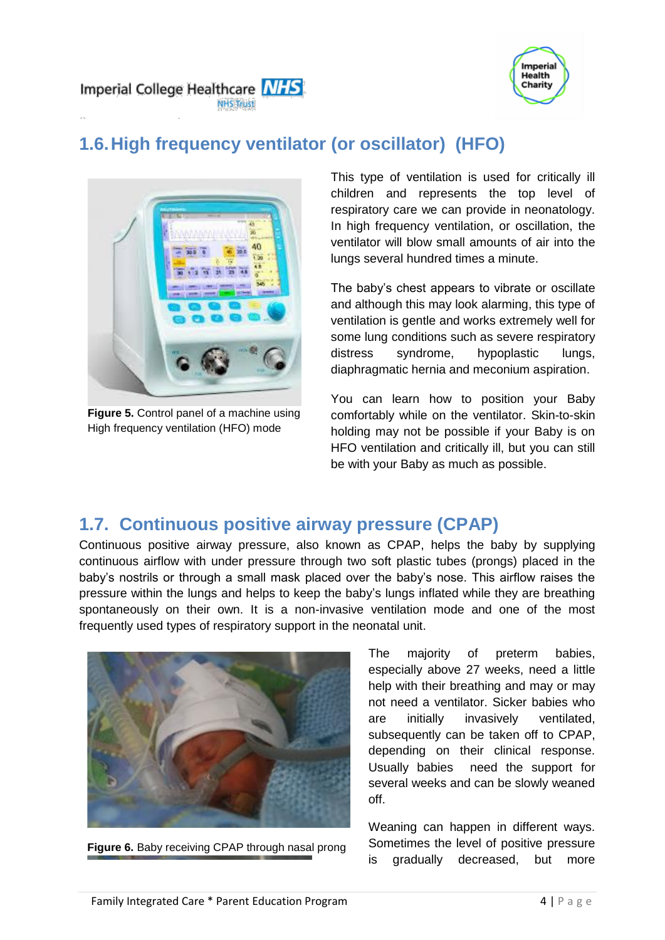



# **1.6.High frequency ventilator (or oscillator) (HFO)**



**Figure 5.** Control panel of a machine using High frequency ventilation (HFO) mode

This type of ventilation is used for critically ill children and represents the top level of respiratory care we can provide in neonatology. In high frequency ventilation, or oscillation, the ventilator will blow small amounts of air into the lungs several hundred times a minute.

The baby's chest appears to vibrate or oscillate and although this may look alarming, this type of ventilation is gentle and works extremely well for some lung conditions such as severe respiratory distress syndrome, hypoplastic lungs, diaphragmatic hernia and meconium aspiration.

You can learn how to position your Baby comfortably while on the ventilator. Skin-to-skin holding may not be possible if your Baby is on HFO ventilation and critically ill, but you can still be with your Baby as much as possible.

# **1.7. Continuous positive airway pressure (CPAP)**

Continuous positive airway pressure, also known as CPAP, helps the baby by supplying continuous airflow with under pressure through two soft plastic tubes (prongs) placed in the baby's nostrils or through a small mask placed over the baby's nose. This airflow raises the pressure within the lungs and helps to keep the baby's lungs inflated while they are breathing spontaneously on their own. It is a non-invasive ventilation mode and one of the most frequently used types of respiratory support in the neonatal unit.



**Figure 6.** Baby receiving CPAP through nasal prong

The majority of preterm babies, especially above 27 weeks, need a little help with their breathing and may or may not need a ventilator. Sicker babies who are initially invasively ventilated, subsequently can be taken off to CPAP, depending on their clinical response. Usually babies need the support for several weeks and can be slowly weaned off.

Weaning can happen in different ways. Sometimes the level of positive pressure is gradually decreased, but more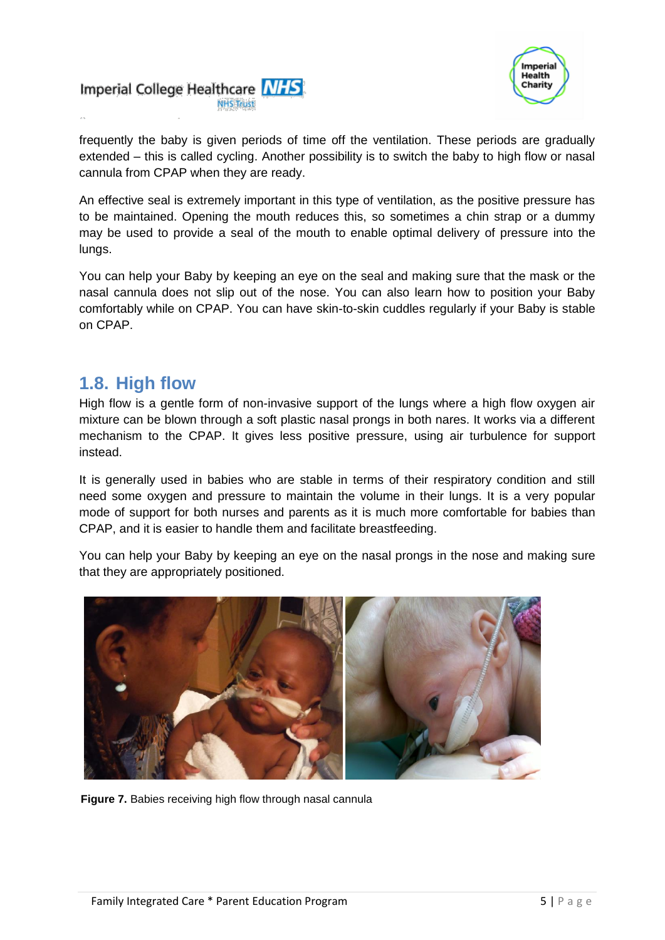



frequently the baby is given periods of time off the ventilation. These periods are gradually extended – this is called cycling. Another possibility is to switch the baby to high flow or nasal cannula from CPAP when they are ready.

An effective seal is extremely important in this type of ventilation, as the positive pressure has to be maintained. Opening the mouth reduces this, so sometimes a chin strap or a dummy may be used to provide a seal of the mouth to enable optimal delivery of pressure into the lungs.

You can help your Baby by keeping an eye on the seal and making sure that the mask or the nasal cannula does not slip out of the nose. You can also learn how to position your Baby comfortably while on CPAP. You can have skin-to-skin cuddles regularly if your Baby is stable on CPAP.

#### **1.8. High flow**

High flow is a gentle form of non-invasive support of the lungs where a high flow oxygen air mixture can be blown through a soft plastic nasal prongs in both nares. It works via a different mechanism to the CPAP. It gives less positive pressure, using air turbulence for support instead.

It is generally used in babies who are stable in terms of their respiratory condition and still need some oxygen and pressure to maintain the volume in their lungs. It is a very popular mode of support for both nurses and parents as it is much more comfortable for babies than CPAP, and it is easier to handle them and facilitate breastfeeding.

You can help your Baby by keeping an eye on the nasal prongs in the nose and making sure that they are appropriately positioned.



**Figure 7.** Babies receiving high flow through nasal cannula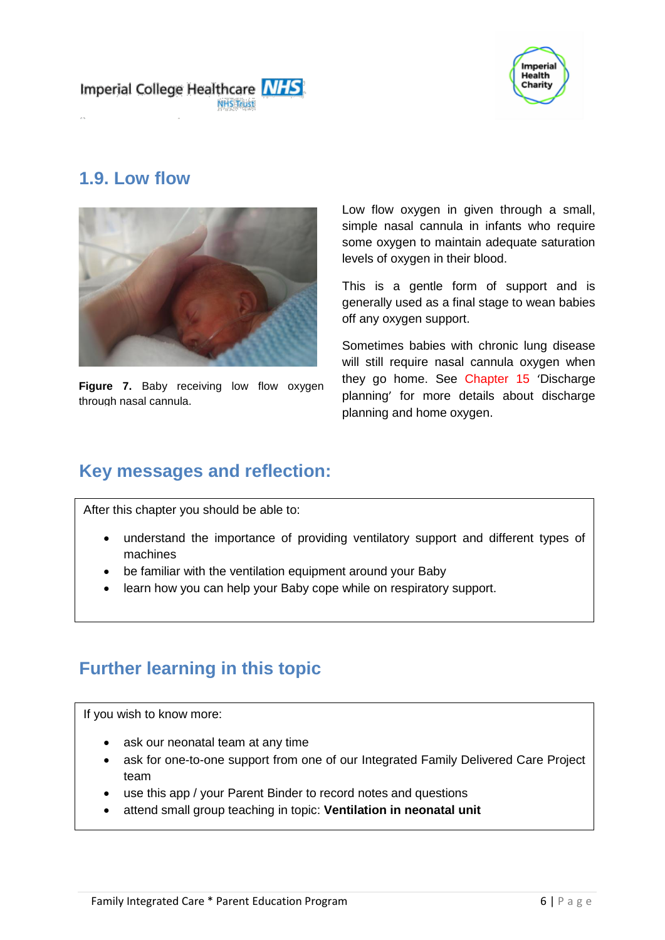



#### **1.9. Low flow**



**Figure 7.** Baby receiving low flow oxygen through nasal cannula.

Low flow oxygen in given through a small, simple nasal cannula in infants who require some oxygen to maintain adequate saturation levels of oxygen in their blood.

This is a gentle form of support and is generally used as a final stage to wean babies off any oxygen support.

Sometimes babies with chronic lung disease will still require nasal cannula oxygen when they go home. See Chapter 15 'Discharge planning' for more details about discharge planning and home oxygen.

# **Key messages and reflection:**

After this chapter you should be able to:

- understand the importance of providing ventilatory support and different types of machines
- be familiar with the ventilation equipment around your Baby
- learn how you can help your Baby cope while on respiratory support.

# **Further learning in this topic**

If you wish to know more:

- ask our neonatal team at any time
- ask for one-to-one support from one of our Integrated Family Delivered Care Project team
- use this app / your Parent Binder to record notes and questions
- attend small group teaching in topic: **Ventilation in neonatal unit**